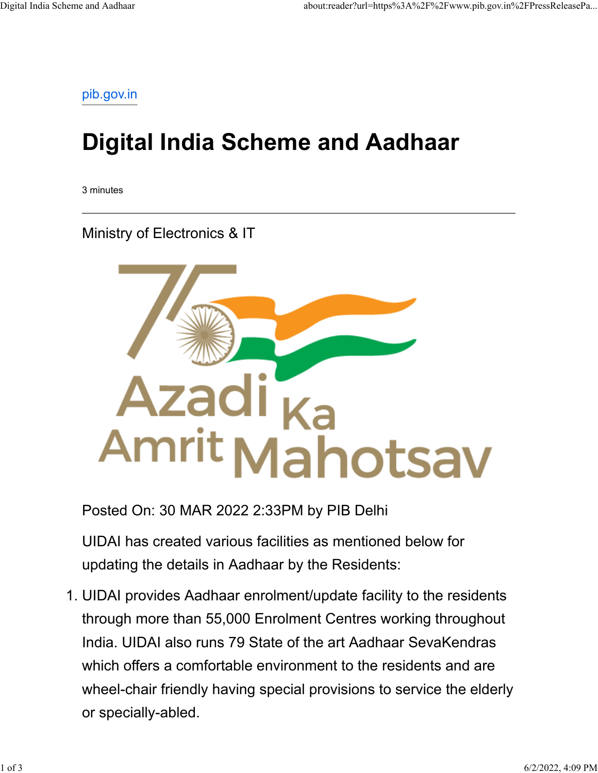[pib.gov.in](https://www.pib.gov.in/PressReleasePage.aspx?PRID=1811369)

## **Digital India Scheme and Aadhaar**

3 minutes

Ministry of Electronics & IT



Posted On: 30 MAR 2022 2:33PM by PIB Delhi

UIDAI has created various facilities as mentioned below for updating the details in Aadhaar by the Residents:

1. UIDAI provides Aadhaar enrolment/update facility to the residents through more than 55,000 Enrolment Centres working throughout India. UIDAI also runs 79 State of the art Aadhaar SevaKendras which offers a comfortable environment to the residents and are wheel-chair friendly having special provisions to service the elderly or specially-abled.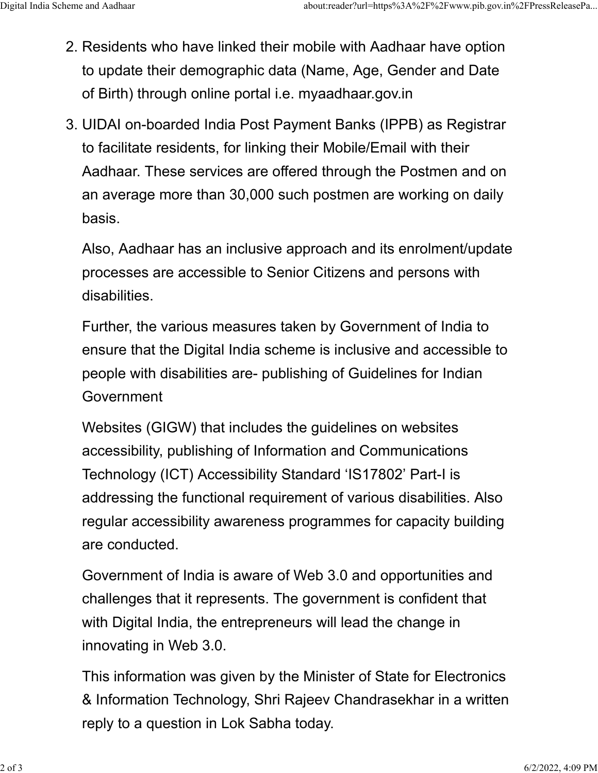- 2. Residents who have linked their mobile with Aadhaar have option to update their demographic data (Name, Age, Gender and Date of Birth) through online portal i.e. myaadhaar.gov.in
- 3. UIDAI on-boarded India Post Payment Banks (IPPB) as Registrar to facilitate residents, for linking their Mobile/Email with their Aadhaar. These services are offered through the Postmen and on an average more than 30,000 such postmen are working on daily basis.

Also, Aadhaar has an inclusive approach and its enrolment/update processes are accessible to Senior Citizens and persons with disabilities.

Further, the various measures taken by Government of India to ensure that the Digital India scheme is inclusive and accessible to people with disabilities are- publishing of Guidelines for Indian Government

Websites (GIGW) that includes the guidelines on websites accessibility, publishing of Information and Communications Technology (ICT) Accessibility Standard 'IS17802' Part-I is addressing the functional requirement of various disabilities. Also regular accessibility awareness programmes for capacity building are conducted.

Government of India is aware of Web 3.0 and opportunities and challenges that it represents. The government is confident that with Digital India, the entrepreneurs will lead the change in innovating in Web 3.0.

This information was given by the Minister of State for Electronics & Information Technology, Shri Rajeev Chandrasekhar in a written reply to a question in Lok Sabha today.